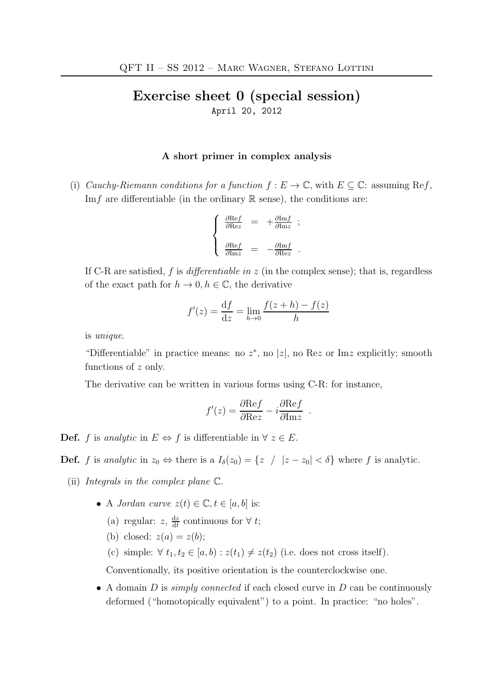## Exercise sheet 0 (special session) April 20, 2012

## A short primer in complex analysis

(i) Cauchy-Riemann conditions for a function  $f : E \to \mathbb{C}$ , with  $E \subseteq \mathbb{C}$ : assuming Ref, Imf are differentiable (in the ordinary  $\mathbb R$  sense), the conditions are:

$$
\left\{ \begin{array}{rcl} \frac{\partial {\rm Re} f}{\partial {\rm Re} z} &=& + \frac{\partial {\rm Im} f}{\partial {\rm Im} z} \ \, ; \\ & & \\ \frac{\partial {\rm Re} f}{\partial {\rm Im} z} &=& - \frac{\partial {\rm Im} f}{\partial {\rm Re} z} \ \, . \end{array} \right.
$$

If C-R are satisfied,  $f$  is *differentiable in z* (in the complex sense); that is, regardless of the exact path for  $h \to 0, h \in \mathbb{C}$ , the derivative

$$
f'(z) = \frac{df}{dz} = \lim_{h \to 0} \frac{f(z+h) - f(z)}{h}
$$

is unique.

"Differentiable" in practice means: no  $z^*$ , no  $|z|$ , no Rez or Imz explicitly; smooth functions of z only.

The derivative can be written in various forms using C-R: for instance,

$$
f'(z) = \frac{\partial \text{Re}f}{\partial \text{Re}z} - i \frac{\partial \text{Re}f}{\partial \text{Im}z} .
$$

**Def.** f is analytic in  $E \Leftrightarrow f$  is differentiable in  $\forall z \in E$ .

**Def.** f is analytic in  $z_0 \Leftrightarrow$  there is a  $I_\delta(z_0) = \{z \ / \ |z - z_0| < \delta\}$  where f is analytic.

- (ii) Integrals in the complex plane C.
	- A *Jordan curve*  $z(t) \in \mathbb{C}$ ,  $t \in [a, b]$  is:
		- (a) regular:  $z, \frac{dz}{dt}$  $\frac{dz}{dt}$  continuous for  $\forall t$ ;
		- (b) closed:  $z(a) = z(b)$ ;
		- (c) simple:  $\forall t_1, t_2 \in [a, b) : z(t_1) \neq z(t_2)$  (i.e. does not cross itself).

Conventionally, its positive orientation is the counterclockwise one.

• A domain D is *simply connected* if each closed curve in D can be continuously deformed ("homotopically equivalent") to a point. In practice: "no holes".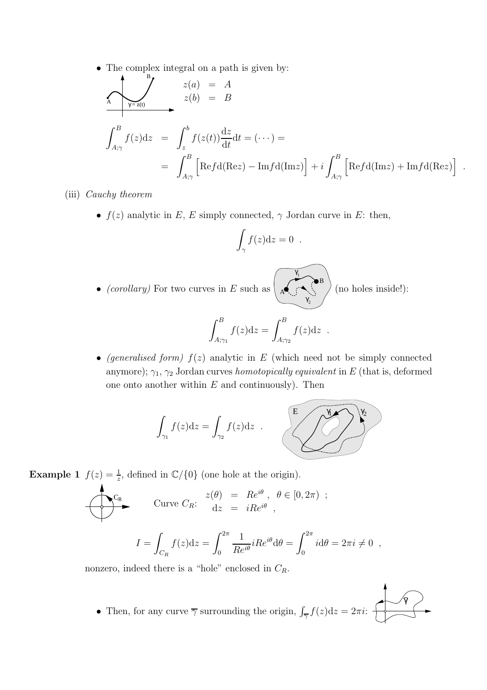• The complex integral on a path is given by:

$$
\sum_{A} \frac{z(a)}{\gamma} = A
$$
  

$$
\int_{A;\gamma}^{B} f(z)dz = \int_{z}^{b} f(z(t)) \frac{dz}{dt} dt = (\cdots) =
$$
  

$$
= \int_{A;\gamma}^{B} \left[ \text{Re}f d(\text{Re}z) - \text{Im}f d(\text{Im}z) \right] + i \int_{A;\gamma}^{B} \left[ \text{Re}f d(\text{Im}z) + \text{Im}f d(\text{Re}z) \right]
$$

(iii) Cauchy theorem

•  $f(z)$  analytic in E, E simply connected,  $\gamma$  Jordan curve in E: then,

$$
\int_{\gamma} f(z) \mathrm{d} z = 0 \; .
$$

γ

A

1

γ

2

B

 $\bullet\ (corollary)$  For two curves in  $E$  such as

(no holes inside!):

γ

.

$$
\int_{A;\gamma_1}^B f(z)dz = \int_{A;\gamma_2}^B f(z)dz .
$$

• (generalised form)  $f(z)$  analytic in E (which need not be simply connected anymore);  $\gamma_1$ ,  $\gamma_2$  Jordan curves *homotopically equivalent* in E (that is, deformed one onto another within  $E$  and continuously). Then



**Example 1**  $f(z) = \frac{1}{z}$ , defined in  $\mathbb{C}/\{0\}$  (one hole at the origin).

$$
\begin{aligned}\n\begin{aligned}\nC_{\mathcal{R}} &\quad \text{Curve } C_R: \quad \frac{z(\theta)}{dz} = \operatorname{Re}^{i\theta} \,, \quad \theta \in [0, 2\pi) \, \; ; \\
\frac{1}{\sqrt{dz}} &= \operatorname{iRe}^{i\theta} \,, \\
I &= \int_{C_R} f(z) \mathrm{d}z = \int_0^{2\pi} \frac{1}{Re^{i\theta}} iRe^{i\theta} \mathrm{d}\theta = \int_0^{2\pi} i \mathrm{d}\theta = 2\pi i \neq 0 \, \; ,\n\end{aligned}\n\end{aligned}
$$

nonzero, indeed there is a "hole" enclosed in  $C_R$ .

• Then, for any curve  $\overline{\gamma}$  surrounding the origin,  $\int_{\overline{\gamma}} f(z) dz = 2\pi i$ :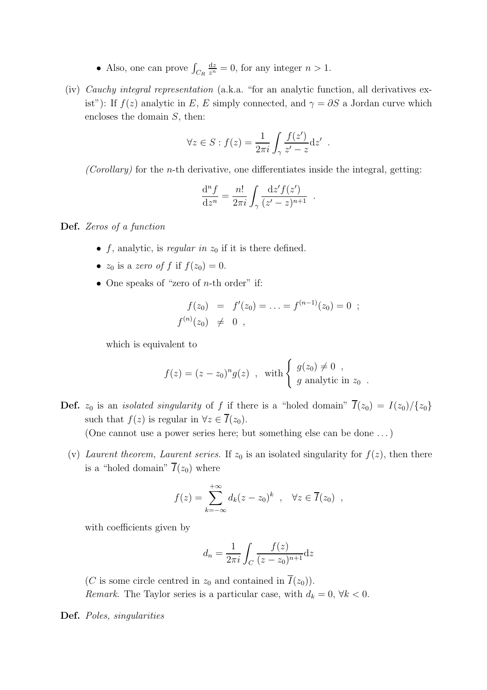- Also, one can prove  $\int_{C_R}$  $\frac{dz}{z^n} = 0$ , for any integer  $n > 1$ .
- (iv) Cauchy integral representation (a.k.a. "for an analytic function, all derivatives exist"): If  $f(z)$  analytic in E, E simply connected, and  $\gamma = \partial S$  a Jordan curve which encloses the domain S, then:

$$
\forall z \in S : f(z) = \frac{1}{2\pi i} \int_{\gamma} \frac{f(z')}{z' - z} dz'
$$

.

 $(Corollary)$  for the *n*-th derivative, one differentiates inside the integral, getting:

$$
\frac{\mathrm{d}^n f}{\mathrm{d}z^n} = \frac{n!}{2\pi i} \int_{\gamma} \frac{\mathrm{d}z' f(z')}{(z'-z)^{n+1}}.
$$

Def. Zeros of a function

- f, analytic, is regular in  $z_0$  if it is there defined.
- $z_0$  is a zero of f if  $f(z_0) = 0$ .
- One speaks of "zero of *n*-th order" if:

$$
f(z_0) = f'(z_0) = \ldots = f^{(n-1)}(z_0) = 0 ;
$$
  

$$
f^{(n)}(z_0) \neq 0 ,
$$

which is equivalent to

$$
f(z) = (z - z_0)^n g(z) , \text{ with } \begin{cases} g(z_0) \neq 0 , \\ g \text{ analytic in } z_0 . \end{cases}
$$

**Def.**  $z_0$  is an *isolated singularity* of f if there is a "holed domain"  $\overline{I}(z_0) = I(z_0)/\{z_0\}$ such that  $f(z)$  is regular in  $\forall z \in \overline{I}(z_0)$ . (One cannot use a power series here; but something else can be done . . . )

(v) Laurent theorem, Laurent series. If  $z_0$  is an isolated singularity for  $f(z)$ , then there is a "holed domain"  $\overline{I}(z_0)$  where

$$
f(z) = \sum_{k=-\infty}^{+\infty} d_k (z - z_0)^k , \quad \forall z \in \overline{I}(z_0) ,
$$

with coefficients given by

$$
d_n = \frac{1}{2\pi i} \int_C \frac{f(z)}{(z - z_0)^{n+1}} dz
$$

(C is some circle centred in  $z_0$  and contained in  $\overline{I}(z_0)$ ). Remark. The Taylor series is a particular case, with  $d_k = 0, \forall k < 0$ .

Def. Poles, singularities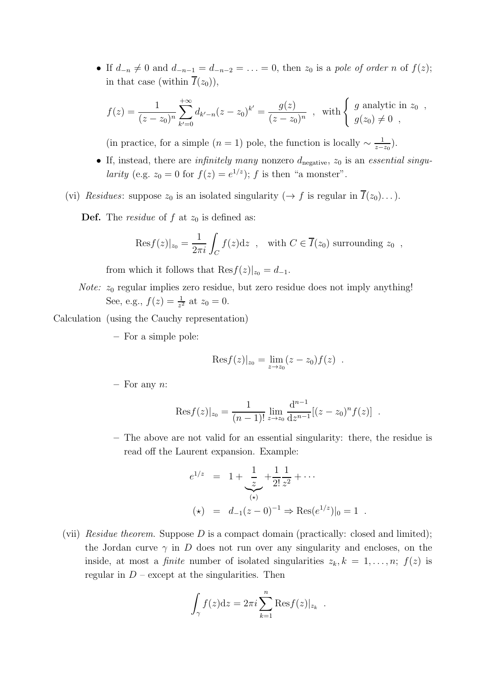• If  $d_{-n} \neq 0$  and  $d_{-n-1} = d_{-n-2} = \ldots = 0$ , then  $z_0$  is a pole of order n of  $f(z)$ ; in that case (within  $\overline{I}(z_0)$ ),

$$
f(z) = \frac{1}{(z - z_0)^n} \sum_{k'=0}^{+\infty} d_{k'-n}(z - z_0)^{k'} = \frac{g(z)}{(z - z_0)^n} , \text{ with } \begin{cases} g \text{ analytic in } z_0 ,\\ g(z_0) \neq 0 , \end{cases}
$$

(in practice, for a simple  $(n = 1)$  pole, the function is locally  $\sim \frac{1}{z-z_0}$ ).

- If, instead, there are *infinitely many* nonzero  $d_{\text{negative}}$ ,  $z_0$  is an *essential singu*larity (e.g.  $z_0 = 0$  for  $f(z) = e^{1/z}$ ); f is then "a monster".
- (vi) Residues: suppose  $z_0$  is an isolated singularity ( $\rightarrow f$  is regular in  $\overline{I}(z_0)$ ...).

**Def.** The *residue* of  $f$  at  $z_0$  is defined as:

$$
Resf(z)|_{z_0} = \frac{1}{2\pi i} \int_C f(z)dz
$$
, with  $C \in \overline{I}(z_0)$  surrounding  $z_0$ ,

from which it follows that  $\text{Res}_{I}(z)|_{z_0} = d_{-1}.$ 

*Note:*  $z_0$  regular implies zero residue, but zero residue does not imply anything! See, e.g.,  $f(z) = \frac{1}{z^2}$  at  $z_0 = 0$ .

Calculation (using the Cauchy representation)

– For a simple pole:

$$
ext{Res } f(z)|_{z_0} = \lim_{z \to z_0} (z - z_0) f(z) .
$$

 $-$  For any  $n$ :

$$
Res f(z)|_{z_0} = \frac{1}{(n-1)!} \lim_{z \to z_0} \frac{d^{n-1}}{dz^{n-1}} [(z - z_0)^n f(z)] .
$$

– The above are not valid for an essential singularity: there, the residue is read off the Laurent expansion. Example:

$$
e^{1/z} = 1 + \underbrace{\frac{1}{z}}_{(*)} + \frac{1}{2!} \underbrace{\frac{1}{z^2}}_{z^2} + \cdots
$$
  

$$
(\star) = d_{-1}(z - 0)^{-1} \Rightarrow \text{Res}(e^{1/z})|_{0} = 1.
$$

(vii) Residue theorem. Suppose  $D$  is a compact domain (practically: closed and limited); the Jordan curve  $\gamma$  in D does not run over any singularity and encloses, on the inside, at most a *finite* number of isolated singularities  $z_k, k = 1, \ldots, n; f(z)$  is regular in  $D$  – except at the singularities. Then

$$
\int_{\gamma} f(z) dz = 2\pi i \sum_{k=1}^{n} \text{Res} f(z)|_{z_k} .
$$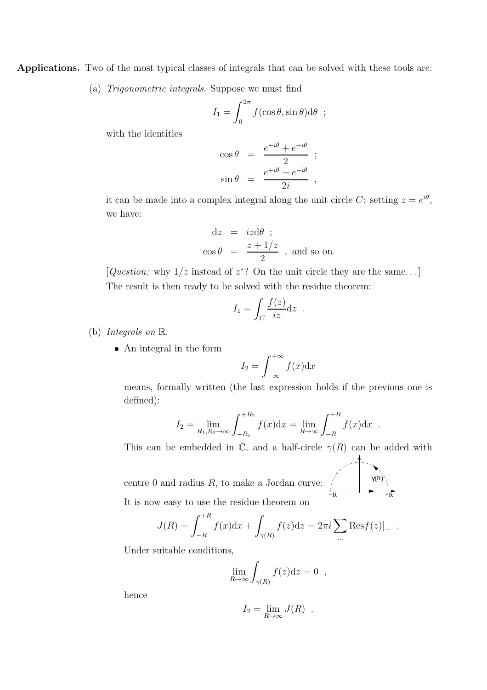Applications. Two of the most typical classes of integrals that can be solved with these tools are:

(a) Trigonometric integrals. Suppose we must find

$$
I_1 = \int_0^{2\pi} f(\cos \theta, \sin \theta) d\theta ;
$$

with the identities

$$
\cos \theta = \frac{e^{+i\theta} + e^{-i\theta}}{2} ;
$$
  

$$
\sin \theta = \frac{e^{+i\theta} - e^{-i\theta}}{2i} ,
$$

it can be made into a complex integral along the unit circle C: setting  $z = e^{i\theta}$ , we have:

$$
dz = izd\theta ;
$$
  
\n
$$
\cos \theta = \frac{z + 1/z}{2}
$$
, and so on.

[*Question:* why  $1/z$  instead of  $z^*$ ? On the unit circle they are the same...] The result is then ready to be solved with the residue theorem:

$$
I_1 = \int_C \frac{f(z)}{iz} dz .
$$

- (b) Integrals on R.
	- An integral in the form

$$
I_2 = \int_{-\infty}^{+\infty} f(x) \mathrm{d}x
$$

means, formally written (the last expression holds if the previous one is defined):

$$
I_2 = \lim_{R_1, R_2 \to \infty} \int_{-R_1}^{+R_2} f(x) dx = \lim_{R \to \infty} \int_{-R}^{+R} f(x) dx .
$$

This can be embedded in  $\mathbb C$ , and a half-circle  $\gamma(R)$  can be added with

centre 0 and radius  $R$ , to make a Jordan curve

$$
\frac{\gamma(R)}{R}
$$

It is now easy to use the residue theorem on

$$
J(R) = \int_{-R}^{+R} f(x) dx + \int_{\gamma(R)} f(z) dz = 2\pi i \sum_{...} \text{Res} f(z) |... .
$$

Under suitable conditions,

$$
\lim_{R \to \infty} \int_{\gamma(R)} f(z) \mathrm{d} z = 0 ,
$$

hence

$$
I_2 = \lim_{R \to \infty} J(R) .
$$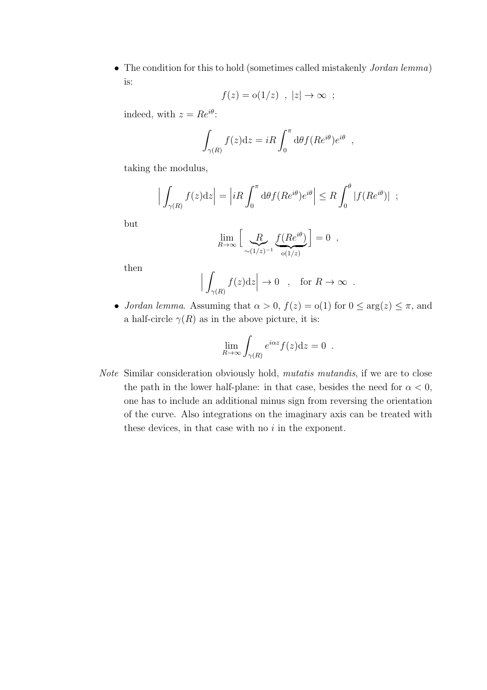• The condition for this to hold (sometimes called mistakenly *Jordan lemma*) is:

$$
f(z) = o(1/z) , |z| \to \infty ;
$$

indeed, with  $z = Re^{i\theta}$ :

$$
\int_{\gamma(R)} f(z) dz = iR \int_0^{\pi} d\theta f(Re^{i\theta}) e^{i\theta} ,
$$

taking the modulus,

$$
\Big|\int_{\gamma(R)} f(z)dz\Big| = \Big|iR\int_0^{\pi} d\theta f(Re^{i\theta})e^{i\theta}\Big| \leq R\int_0^{\theta} |f(Re^{i\theta})| ;
$$

but

$$
\lim_{R \to \infty} \left[ \underbrace{R}_{\sim (1/z)^{-1}} \underbrace{f(Re^{i\theta})}_{\text{o}(1/z)} \right] = 0 ,
$$

then

$$
\Big|\int_{\gamma(R)} f(z)dz\Big| \to 0 \quad , \quad \text{for } R \to \infty \ .
$$

• Jordan lemma. Assuming that  $\alpha > 0$ ,  $f(z) = o(1)$  for  $0 \le \arg(z) \le \pi$ , and a half-circle  $\gamma(R)$  as in the above picture, it is:

$$
\lim_{R \to \infty} \int_{\gamma(R)} e^{i\alpha z} f(z) \mathrm{d} z = 0.
$$

Note Similar consideration obviously hold, mutatis mutandis, if we are to close the path in the lower half-plane: in that case, besides the need for  $\alpha < 0$ , one has to include an additional minus sign from reversing the orientation of the curve. Also integrations on the imaginary axis can be treated with these devices, in that case with no  $i$  in the exponent.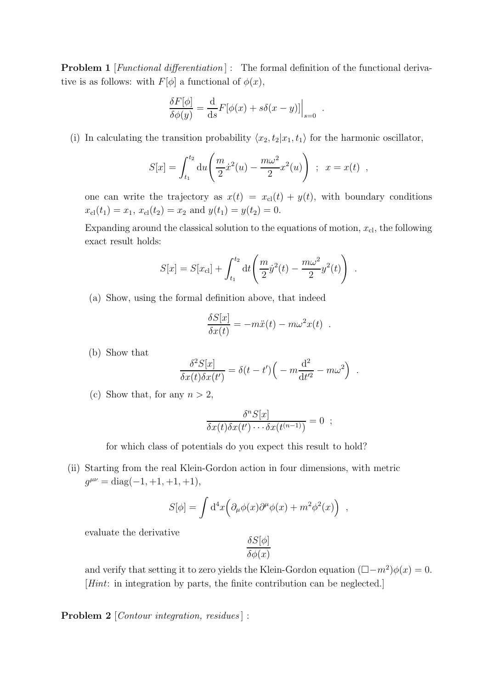**Problem 1** [*Functional differentiation*] : The formal definition of the functional derivative is as follows: with  $F[\phi]$  a functional of  $\phi(x)$ ,

$$
\frac{\delta F[\phi]}{\delta \phi(y)} = \frac{\mathrm{d}}{\mathrm{d}s} F[\phi(x) + s\delta(x - y)]\Big|_{s=0}
$$

(i) In calculating the transition probability  $\langle x_2, t_2 | x_1, t_1 \rangle$  for the harmonic oscillator,

$$
S[x] = \int_{t_1}^{t_2} du \left( \frac{m}{2} \dot{x}^2(u) - \frac{m\omega^2}{2} x^2(u) \right) ; \ x = x(t) ,
$$

.

one can write the trajectory as  $x(t) = x_{\text{cl}}(t) + y(t)$ , with boundary conditions  $x_{\text{cl}}(t_1) = x_1, x_{\text{cl}}(t_2) = x_2 \text{ and } y(t_1) = y(t_2) = 0.$ 

Expanding around the classical solution to the equations of motion,  $x_{\text{cl}}$ , the following exact result holds:

$$
S[x] = S[x_{\rm cl}] + \int_{t_1}^{t_2} dt \left( \frac{m}{2} \dot{y}^2(t) - \frac{m\omega^2}{2} y^2(t) \right) .
$$

(a) Show, using the formal definition above, that indeed

$$
\frac{\delta S[x]}{\delta x(t)} = -m\ddot{x}(t) - m\omega^2 x(t) .
$$

(b) Show that

$$
\frac{\delta^2 S[x]}{\delta x(t)\delta x(t')} = \delta(t-t')\Big(-m\frac{\mathrm{d}^2}{\mathrm{d}t'^2} - m\omega^2\Big) .
$$

(c) Show that, for any  $n > 2$ ,

$$
\frac{\delta^n S[x]}{\delta x(t)\delta x(t')\cdots\delta x(t^{(n-1)})}=0 \ ;
$$

for which class of potentials do you expect this result to hold?

(ii) Starting from the real Klein-Gordon action in four dimensions, with metric  $g^{\mu\nu} = \text{diag}(-1, +1, +1, +1),$ 

$$
S[\phi] = \int d^4x \Big( \partial_\mu \phi(x) \partial^\mu \phi(x) + m^2 \phi^2(x) \Big) ,
$$

evaluate the derivative

$$
\frac{\delta S[\phi]}{\delta \phi(x)}
$$

and verify that setting it to zero yields the Klein-Gordon equation  $(\Box - m^2)\phi(x) = 0$ . [Hint: in integration by parts, the finite contribution can be neglected.]

Problem 2 [*Contour integration, residues*] :